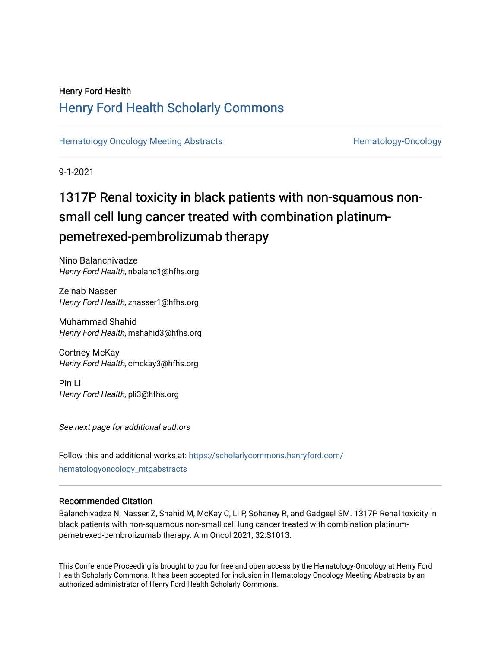## Henry Ford Health [Henry Ford Health Scholarly Commons](https://scholarlycommons.henryford.com/)

[Hematology Oncology Meeting Abstracts](https://scholarlycommons.henryford.com/hematologyoncology_mtgabstracts) **Hematology-Oncology-Oncology** 

9-1-2021

# 1317P Renal toxicity in black patients with non-squamous nonsmall cell lung cancer treated with combination platinumpemetrexed-pembrolizumab therapy

Nino Balanchivadze Henry Ford Health, nbalanc1@hfhs.org

Zeinab Nasser Henry Ford Health, znasser1@hfhs.org

Muhammad Shahid Henry Ford Health, mshahid3@hfhs.org

Cortney McKay Henry Ford Health, cmckay3@hfhs.org

Pin Li Henry Ford Health, pli3@hfhs.org

See next page for additional authors

Follow this and additional works at: [https://scholarlycommons.henryford.com/](https://scholarlycommons.henryford.com/hematologyoncology_mtgabstracts?utm_source=scholarlycommons.henryford.com%2Fhematologyoncology_mtgabstracts%2F90&utm_medium=PDF&utm_campaign=PDFCoverPages) [hematologyoncology\\_mtgabstracts](https://scholarlycommons.henryford.com/hematologyoncology_mtgabstracts?utm_source=scholarlycommons.henryford.com%2Fhematologyoncology_mtgabstracts%2F90&utm_medium=PDF&utm_campaign=PDFCoverPages) 

### Recommended Citation

Balanchivadze N, Nasser Z, Shahid M, McKay C, Li P, Sohaney R, and Gadgeel SM. 1317P Renal toxicity in black patients with non-squamous non-small cell lung cancer treated with combination platinumpemetrexed-pembrolizumab therapy. Ann Oncol 2021; 32:S1013.

This Conference Proceeding is brought to you for free and open access by the Hematology-Oncology at Henry Ford Health Scholarly Commons. It has been accepted for inclusion in Hematology Oncology Meeting Abstracts by an authorized administrator of Henry Ford Health Scholarly Commons.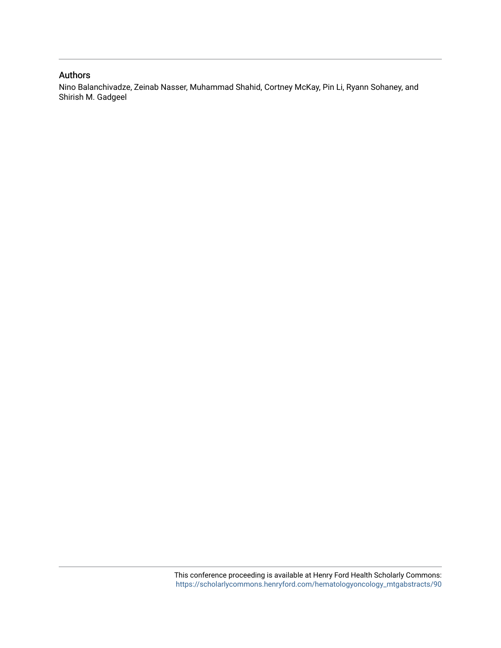## Authors

Nino Balanchivadze, Zeinab Nasser, Muhammad Shahid, Cortney McKay, Pin Li, Ryann Sohaney, and Shirish M. Gadgeel